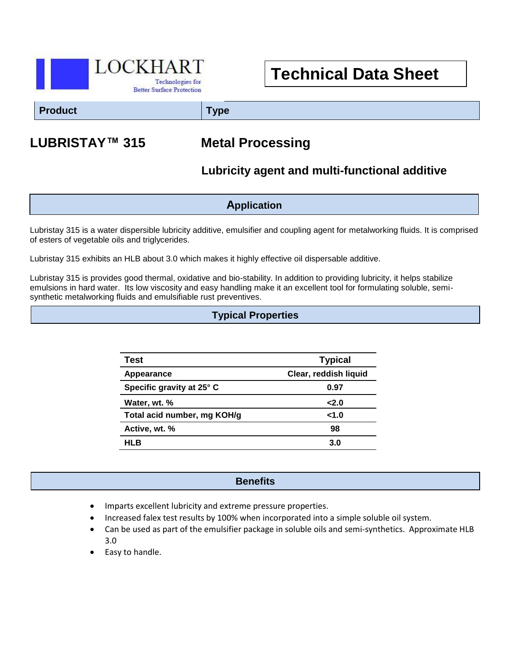

# **Technical Data Sheet**

**Product Type**

## **LUBRISTAY™ 315 Metal Processing**

## **Lubricity agent and multi-functional additive**

**Application**

Lubristay 315 is a water dispersible lubricity additive, emulsifier and coupling agent for metalworking fluids. It is comprised of esters of vegetable oils and triglycerides.

Lubristay 315 exhibits an HLB about 3.0 which makes it highly effective oil dispersable additive.

Lubristay 315 is provides good thermal, oxidative and bio-stability. In addition to providing lubricity, it helps stabilize emulsions in hard water. Its low viscosity and easy handling make it an excellent tool for formulating soluble, semisynthetic metalworking fluids and emulsifiable rust preventives.

#### **Typical Properties**

| Test                        | <b>Typical</b>        |
|-----------------------------|-----------------------|
| Appearance                  | Clear, reddish liquid |
| Specific gravity at 25° C   | 0.97                  |
| Water, wt. %                | 2.0                   |
| Total acid number, mg KOH/g | 1.0                   |
| Active, wt. %               | 98                    |
| HLB                         | 3.0                   |

#### **Benefits**

- Imparts excellent lubricity and extreme pressure properties.
- Increased falex test results by 100% when incorporated into a simple soluble oil system.
- Can be used as part of the emulsifier package in soluble oils and semi-synthetics. Approximate HLB 3.0
- Easy to handle.